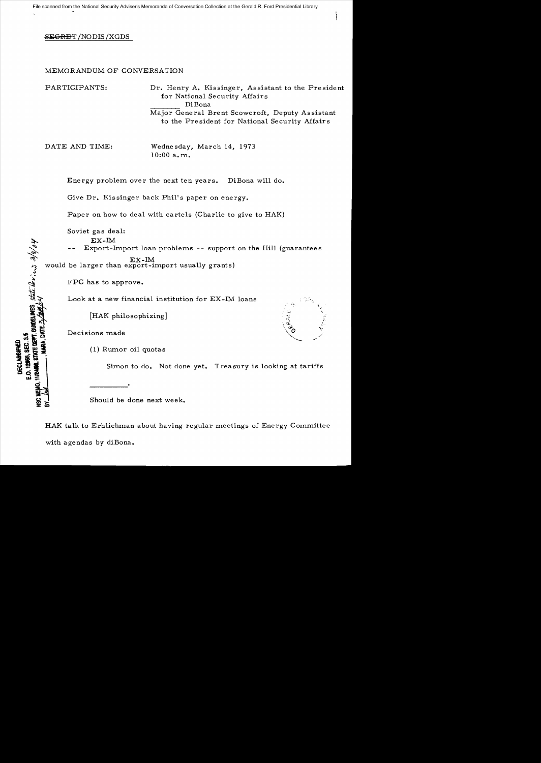## **SEGRET /NODIS / XGDS**

## MEMORANDUM OF CONVERSATION

PARTICIPANTS: Dr. Henry A. Kissinger, Assistant to the President for National Security Affairs DiBona Major General Brent Scowcroft, Deputy Assistant to the President for National Security Affairs

DATE AND TIME: Wednesday, March 14, 1973 10:00 a. m.

Energy problem over the next ten years. DiBona will do.

Give Dr. Kissinger back Phil's paper on energy.

Paper on how to deal with cartels (Charlie to give to HAK)

Soviet gas deal:

EX-IM

Export-Import loan problems -- support on the Hill (guarantees EX-1M

would be larger than export-import usually grants)

FPC has to approve.

Look at a new financial institution for EX-IM loans

[HAK philosophizing]

Decisions made

GUNDELINES State levices 3/8/04

**PAGS. SEC. 3.5 STATE DEPT** 

DECLASSIFIED

(1) Rumor oil quotas

Simon to do. Not done *yet.* Treasury is looking at tariffs

Should be done next week.

HAK talk to Erhlichman about having regular meetings of Energy Committee with agendas by diBona.